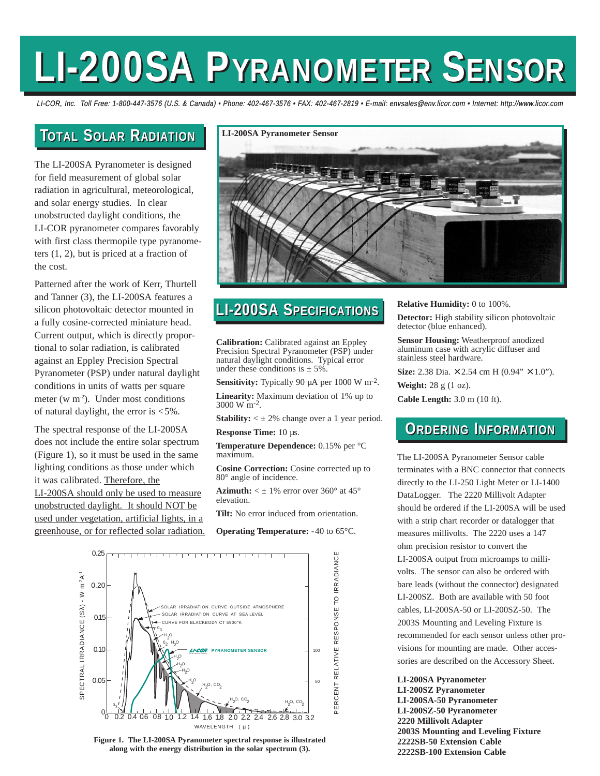# **LI-200SA P LI-200SA PYRANOMETER YRANOMETER SENSOR ENSOR**

LI-COR, Inc. Toll Free: 1-800-447-3576 (U.S. & Canada) • Phone: 402-467-3576 • FAX: 402-467-2819 • E-mail: envsales@env.licor.com • Internet: http://www.licor.com

## **TOTAL SOLAR RADIATION**

The LI-200SA Pyranometer is designed for field measurement of global solar radiation in agricultural, meteorological, and solar energy studies. In clear unobstructed daylight conditions, the LI-COR pyranometer compares favorably with first class thermopile type pyranometers (1, 2), but is priced at a fraction of the cost.

Patterned after the work of Kerr, Thurtell and Tanner (3), the LI-200SA features a silicon photovoltaic detector mounted in a fully cosine-corrected miniature head. Current output, which is directly proportional to solar radiation, is calibrated against an Eppley Precision Spectral Pyranometer (PSP) under natural daylight conditions in units of watts per square meter (w  $m<sup>-2</sup>$ ). Under most conditions of natural daylight, the error is <5%.

The spectral response of the LI-200SA does not include the entire solar spectrum (Figure 1), so it must be used in the same lighting conditions as those under which it was calibrated. Therefore, the LI-200SA should only be used to measure unobstructed daylight. It should NOT be used under vegetation, artificial lights, in a greenhouse, or for reflected solar radiation.



# **TOTAL SOLAR RADIATION LI-200SA S LI-200SA SPECIFICATIONS PECIFICATIONS**

**Calibration:** Calibrated against an Eppley Precision Spectral Pyranometer (PSP) under natural daylight conditions. Typical error under these conditions is  $\pm$  5%.

**Sensitivity:** Typically 90 µA per 1000 W m-2.

**Linearity:** Maximum deviation of 1% up to 3000 W m-2.

**Stability:**  $\leq \pm 2\%$  change over a 1 year period. **Response Time:** 10 µs.

**Temperature Dependence:** 0.15% per °C maximum.

**Cosine Correction:** Cosine corrected up to 80° angle of incidence.

**Azimuth:**  $\lt \pm 1\%$  error over 360 $^{\circ}$  at 45 $^{\circ}$ elevation.

**Tilt:** No error induced from orientation.

**Operating Temperature:** -40 to 65°C.



**Figure 1. The LI-200SA Pyranometer spectral response is illustrated along with the energy distribution in the solar spectrum (3).**

#### **Relative Humidity:** 0 to 100%.

**Detector:** High stability silicon photovoltaic detector (blue enhanced).

**Sensor Housing:** Weatherproof anodized aluminum case with acrylic diffuser and stainless steel hardware.

**Size:** 2.38 Dia. × 2.54 cm H (0.94" × 1.0").

**Weight:** 28 g (1 oz).

**Cable Length:** 3.0 m (10 ft).

# **ORDERING INFORMATION**

The LI-200SA Pyranometer Sensor cable terminates with a BNC connector that connects directly to the LI-250 Light Meter or LI-1400 DataLogger. The 2220 Millivolt Adapter should be ordered if the LI-200SA will be used with a strip chart recorder or datalogger that measures millivolts. The 2220 uses a 147 ohm precision resistor to convert the LI-200SA output from microamps to millivolts. The sensor can also be ordered with bare leads (without the connector) designated LI-200SZ. Both are available with 50 foot cables, LI-200SA-50 or LI-200SZ-50. The 2003S Mounting and Leveling Fixture is recommended for each sensor unless other provisions for mounting are made. Other accessories are described on the Accessory Sheet.

**LI-200SA Pyranometer LI-200SZ Pyranometer LI-200SA-50 Pyranometer LI-200SZ-50 Pyranometer 2220 Millivolt Adapter 2003S Mounting and Leveling Fixture 2222SB-50 Extension Cable 2222SB-100 Extension Cable**